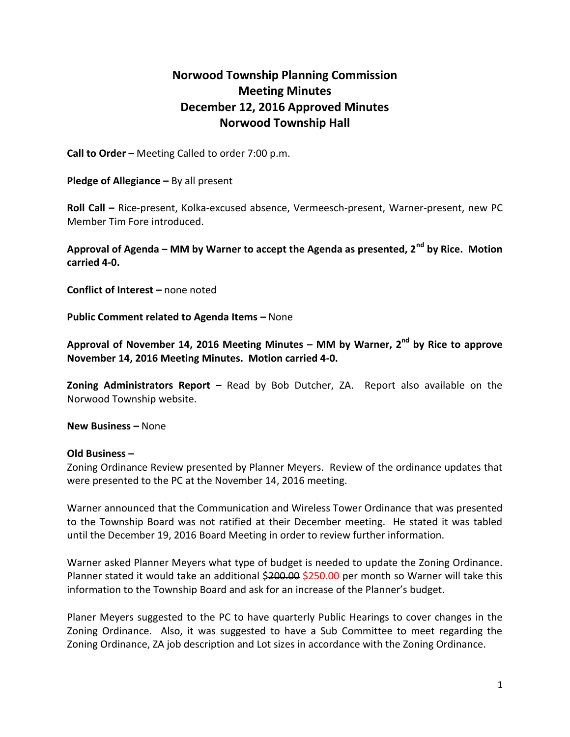## **Norwood Township Planning Commission Meeting Minutes December 12, 2016 Approved Minutes Norwood Township Hall**

**Call to Order –** Meeting Called to order 7:00 p.m.

**Pledge of Allegiance –** By all present

**Roll Call –** Rice-present, Kolka-excused absence, Vermeesch-present, Warner-present, new PC Member Tim Fore introduced.

**Approval of Agenda – MM by Warner to accept the Agenda as presented, 2nd by Rice. Motion carried 4-0.**

**Conflict of Interest –** none noted

**Public Comment related to Agenda Items –** None

**Approval of November 14, 2016 Meeting Minutes – MM by Warner, 2nd by Rice to approve November 14, 2016 Meeting Minutes. Motion carried 4-0.**

**Zoning Administrators Report –** Read by Bob Dutcher, ZA. Report also available on the Norwood Township website.

**New Business –** None

## **Old Business –**

Zoning Ordinance Review presented by Planner Meyers. Review of the ordinance updates that were presented to the PC at the November 14, 2016 meeting.

Warner announced that the Communication and Wireless Tower Ordinance that was presented to the Township Board was not ratified at their December meeting. He stated it was tabled until the December 19, 2016 Board Meeting in order to review further information.

Warner asked Planner Meyers what type of budget is needed to update the Zoning Ordinance. Planner stated it would take an additional \$200.00 \$250.00 per month so Warner will take this information to the Township Board and ask for an increase of the Planner's budget.

Planer Meyers suggested to the PC to have quarterly Public Hearings to cover changes in the Zoning Ordinance. Also, it was suggested to have a Sub Committee to meet regarding the Zoning Ordinance, ZA job description and Lot sizes in accordance with the Zoning Ordinance.